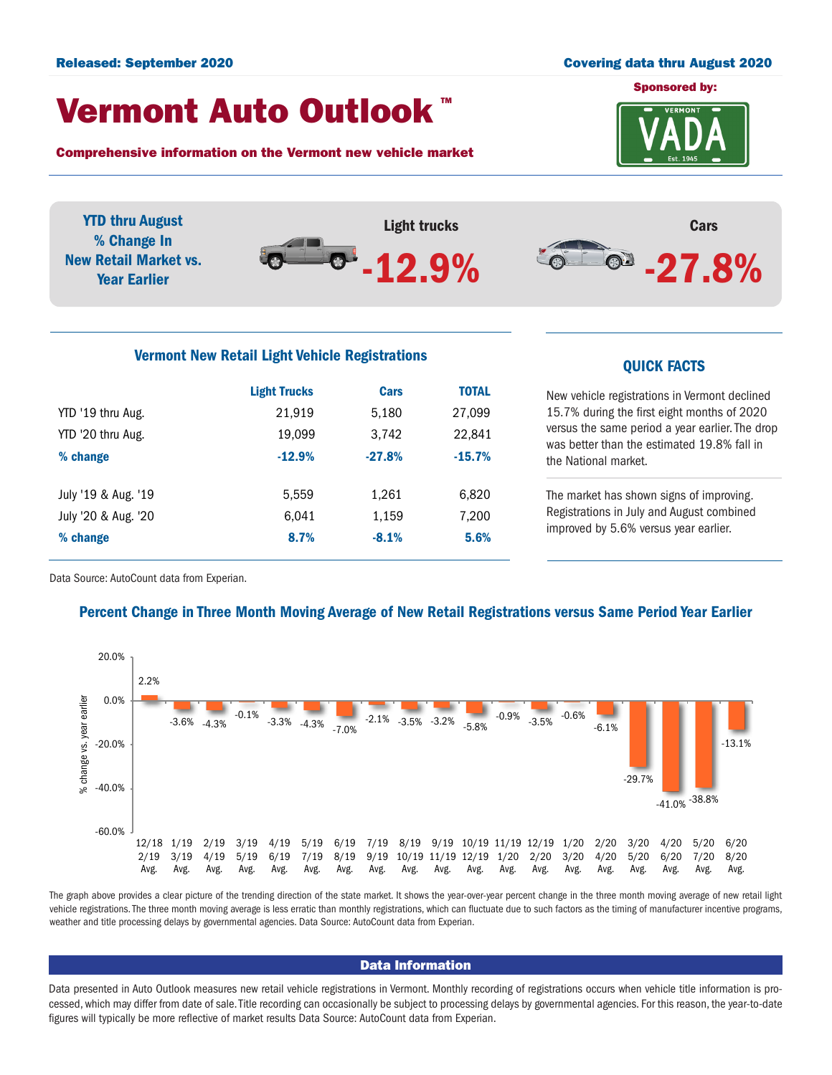#### Released: September 2020 Covering data thru August 2020

### Vermont Auto Outlook TM

Comprehensive information on the Vermont new vehicle market



YTD thru August Light trucks Cars % Change In  $-27.8%$  $\bullet$ . -12.9% New Retail Market vs. Year Earlier

# Vermont New Retail Light Vehicle Registrations<br>
QUICK FACTS

|                     | <b>Light Trucks</b> | Cars     | <b>TOTAL</b> |
|---------------------|---------------------|----------|--------------|
| YTD '19 thru Aug.   | 21,919              | 5,180    | 27,099       |
| YTD '20 thru Aug.   | 19,099              | 3,742    | 22,841       |
| % change            | $-12.9%$            | $-27.8%$ | $-15.7%$     |
| July '19 & Aug. '19 | 5,559               | 1,261    | 6,820        |
| July '20 & Aug. '20 | 6.041               | 1,159    | 7,200        |
| % change            | 8.7%                | $-8.1%$  | 5.6%         |

New vehicle registrations in Vermont declined 15.7% during the first eight months of 2020 versus the same period a year earlier. The drop was better than the estimated 19.8% fall in the National market.

The market has shown signs of improving. Registrations in July and August combined improved by 5.6% versus year earlier.

Data Source: AutoCount data from Experian.

#### Percent Change in Three Month Moving Average of New Retail Registrations versus Same Period Year Earlier



The graph above provides a clear picture of the trending direction of the state market. It shows the year-over-year percent change in the three month moving average of new retail light vehicle registrations. The three month moving average is less erratic than monthly registrations, which can fluctuate due to such factors as the timing of manufacturer incentive programs, weather and title processing delays by governmental agencies. Data Source: AutoCount data from Experian.

#### Data Information

Data presented in Auto Outlook measures new retail vehicle registrations in Vermont. Monthly recording of registrations occurs when vehicle title information is processed, which may differ from date of sale. Title recording can occasionally be subject to processing delays by governmental agencies. For this reason, the year-to-date figures will typically be more reflective of market results Data Source: AutoCount data from Experian.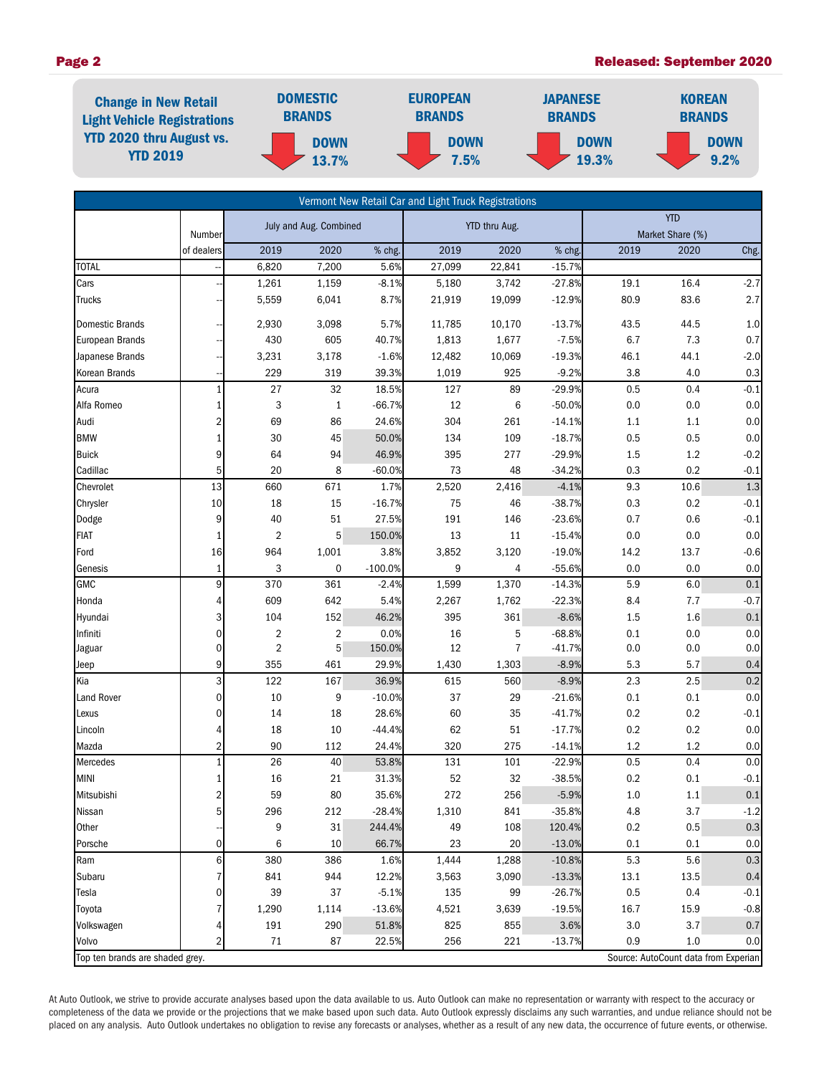#### Page 2 Released: September 2020



|                                 |                      |                                  |                     |                | Vermont New Retail Car and Light Truck Registrations |            |                      |            |                                      |                |
|---------------------------------|----------------------|----------------------------------|---------------------|----------------|------------------------------------------------------|------------|----------------------|------------|--------------------------------------|----------------|
|                                 |                      | July and Aug. Combined           |                     | YTD thru Aug.  |                                                      | <b>YTD</b> |                      |            |                                      |                |
|                                 | Number<br>of dealers | 2019                             | 2020                | % chg.         | 2019                                                 | 2020       | % chg.               | 2019       | Market Share (%)<br>2020             |                |
| <b>TOTAL</b>                    |                      | 6,820                            | 7,200               | 5.6%           | 27,099                                               | 22,841     | $-15.7%$             |            |                                      | Chg.           |
| Cars                            |                      | 1,261                            | 1,159               | $-8.1%$        | 5,180                                                | 3,742      | $-27.8%$             | 19.1       | 16.4                                 | $-2.7$         |
| <b>Trucks</b>                   |                      | 5,559                            | 6,041               | 8.7%           | 21,919                                               | 19,099     | $-12.9%$             | 80.9       | 83.6                                 | 2.7            |
|                                 |                      |                                  |                     |                |                                                      |            |                      |            |                                      |                |
| <b>Domestic Brands</b>          |                      | 2,930                            | 3,098               | 5.7%           | 11,785                                               | 10,170     | $-13.7%$             | 43.5       | 44.5                                 | $1.0\,$        |
| <b>European Brands</b>          |                      | 430                              | 605                 | 40.7%          | 1,813                                                | 1,677      | $-7.5%$              | 6.7        | 7.3                                  | 0.7            |
| Japanese Brands                 |                      | 3,231                            | 3,178               | $-1.6%$        | 12,482                                               | 10,069     | $-19.3%$             | 46.1       | 44.1                                 | $-2.0$         |
| Korean Brands                   |                      | 229                              | 319                 | 39.3%          | 1,019                                                | 925        | $-9.2%$              | 3.8        | 4.0                                  | 0.3            |
| Acura                           | 1                    | 27                               | 32                  | 18.5%          | 127                                                  | 89         | $-29.9%$             | 0.5        | 0.4                                  | $-0.1$         |
| Alfa Romeo                      | 1                    | 3                                | $\mathbf{1}$        | $-66.7%$       | $12\,$                                               | 6          | $-50.0%$             | 0.0        | 0.0                                  | 0.0            |
| Audi                            | 2                    | 69                               | 86                  | 24.6%          | 304                                                  | 261        | $-14.1%$             | 1.1        | 1.1                                  | 0.0            |
| <b>BMW</b>                      | $\mathbf{1}$         | 30                               | 45                  | 50.0%          | 134                                                  | 109        | $-18.7%$             | 0.5        | 0.5                                  | 0.0            |
| <b>Buick</b>                    | 9                    | 64                               | 94                  | 46.9%          | 395                                                  | 277        | $-29.9%$             | 1.5        | $1.2\,$                              | $-0.2$         |
| Cadillac                        | 5                    | 20                               | 8                   | $-60.0%$       | 73                                                   | 48         | $-34.2%$             | 0.3        | 0.2                                  | $-0.1$         |
| Chevrolet                       | 13                   | 660                              | 671                 | 1.7%           | 2,520                                                | 2,416      | $-4.1%$              | 9.3        | 10.6                                 | 1.3            |
| Chrysler                        | 10                   | 18                               | 15                  | $-16.7%$       | 75                                                   | 46         | $-38.7%$             | 0.3        | 0.2                                  | $-0.1$         |
| Dodge                           | 9                    | 40                               | 51                  | 27.5%          | 191                                                  | 146        | $-23.6%$             | 0.7        | 0.6                                  | $-0.1$         |
| <b>FIAT</b>                     | 1                    | $\overline{2}$                   | 5                   | 150.0%         | 13                                                   | 11         | $-15.4%$             | 0.0        | 0.0                                  | 0.0            |
| Ford                            | 16                   | 964                              | 1,001               | 3.8%           | 3,852                                                | 3,120      | $-19.0%$             | 14.2       | 13.7                                 | $-0.6$         |
| Genesis                         | $\mathbf{1}$         | 3                                | 0                   | $-100.0%$      | 9                                                    | 4          | $-55.6%$             | 0.0        | 0.0                                  | 0.0            |
| <b>GMC</b>                      | 9                    | 370                              | 361                 | $-2.4%$        | 1,599                                                | 1,370      | $-14.3%$             | 5.9        | 6.0                                  | 0.1            |
| Honda                           | 4                    | 609                              | 642                 | 5.4%           | 2,267                                                | 1,762      | $-22.3%$             | 8.4        | 7.7                                  | $-0.7$         |
| Hyundai                         | 3                    | 104                              | 152                 | 46.2%          | 395                                                  | 361        | $-8.6%$              | 1.5        | $1.6\,$                              | 0.1            |
| Infiniti                        | 0<br>0               | $\overline{2}$<br>$\overline{2}$ | $\overline{2}$<br>5 | 0.0%<br>150.0% | 16<br>12                                             | 5<br>7     | $-68.8%$<br>$-41.7%$ | 0.1<br>0.0 | 0.0<br>0.0                           | 0.0<br>$0.0\,$ |
| Jaguar<br>Jeep                  | 9                    | 355                              | 461                 | 29.9%          | 1,430                                                | 1,303      | $-8.9%$              | 5.3        | 5.7                                  | 0.4            |
| Kia                             | 3                    | 122                              | 167                 | 36.9%          | 615                                                  | 560        | $-8.9%$              | 2.3        | 2.5                                  | 0.2            |
| Land Rover                      | 0                    | 10                               | 9                   | $-10.0%$       | 37                                                   | 29         | $-21.6%$             | 0.1        | 0.1                                  | $0.0\,$        |
| Lexus                           | 0                    | 14                               | 18                  | 28.6%          | 60                                                   | 35         | $-41.7%$             | 0.2        | 0.2                                  | $-0.1$         |
| Lincoln                         | 4                    | 18                               | 10                  | $-44.4%$       | 62                                                   | 51         | $-17.7%$             | 0.2        | 0.2                                  | 0.0            |
| Mazda                           | 2                    | 90                               | 112                 | 24.4%          | 320                                                  | 275        | $-14.1%$             | 1.2        | $1.2\,$                              | 0.0            |
| Mercedes                        | $\mathbf{1}$         | 26                               | 40                  | 53.8%          | 131                                                  | 101        | $-22.9%$             | 0.5        | 0.4                                  | 0.0            |
| <b>MINI</b>                     | 1                    | 16                               | 21                  | 31.3%          | 52                                                   | 32         | $-38.5%$             | 0.2        | 0.1                                  | $-0.1$         |
| Mitsubishi                      | 2                    | 59                               | 80                  | 35.6%          | 272                                                  | 256        | $-5.9%$              | 1.0        | $1.1\,$                              | $0.1\,$        |
| Nissan                          | 5                    | 296                              | 212                 | $-28.4%$       | 1,310                                                | 841        | $-35.8%$             | 4.8        | 3.7                                  | $-1.2$         |
| Other                           |                      | 9                                | 31                  | 244.4%         | 49                                                   | 108        | 120.4%               | 0.2        | 0.5                                  | $0.3\,$        |
| Porsche                         | 0                    | 6                                | 10                  | 66.7%          | 23                                                   | 20         | $-13.0%$             | 0.1        | 0.1                                  | 0.0            |
| Ram                             | 6                    | 380                              | 386                 | 1.6%           | 1,444                                                | 1,288      | $-10.8%$             | 5.3        | $5.6\,$                              | 0.3            |
| Subaru                          | 7                    | 841                              | 944                 | 12.2%          | 3,563                                                | 3,090      | $-13.3%$             | 13.1       | 13.5                                 | 0.4            |
| Tesla                           | 0                    | 39                               | 37                  | $-5.1%$        | 135                                                  | 99         | $-26.7%$             | 0.5        | 0.4                                  | $-0.1$         |
| Toyota                          |                      | 1,290                            | 1,114               | $-13.6%$       | 4,521                                                | 3,639      | $-19.5%$             | 16.7       | 15.9                                 | $-0.8$         |
| Volkswagen                      | 4                    | 191                              | 290                 | 51.8%          | 825                                                  | 855        | 3.6%                 | 3.0        | 3.7                                  | 0.7            |
| Volvo                           | 2                    | 71                               | 87                  | 22.5%          | 256                                                  | 221        | $-13.7%$             | 0.9        | 1.0                                  | 0.0            |
| Top ten brands are shaded grey. |                      |                                  |                     |                |                                                      |            |                      |            | Source: AutoCount data from Experian |                |

At Auto Outlook, we strive to provide accurate analyses based upon the data available to us. Auto Outlook can make no representation or warranty with respect to the accuracy or completeness of the data we provide or the projections that we make based upon such data. Auto Outlook expressly disclaims any such warranties, and undue reliance should not be placed on any analysis. Auto Outlook undertakes no obligation to revise any forecasts or analyses, whether as a result of any new data, the occurrence of future events, or otherwise.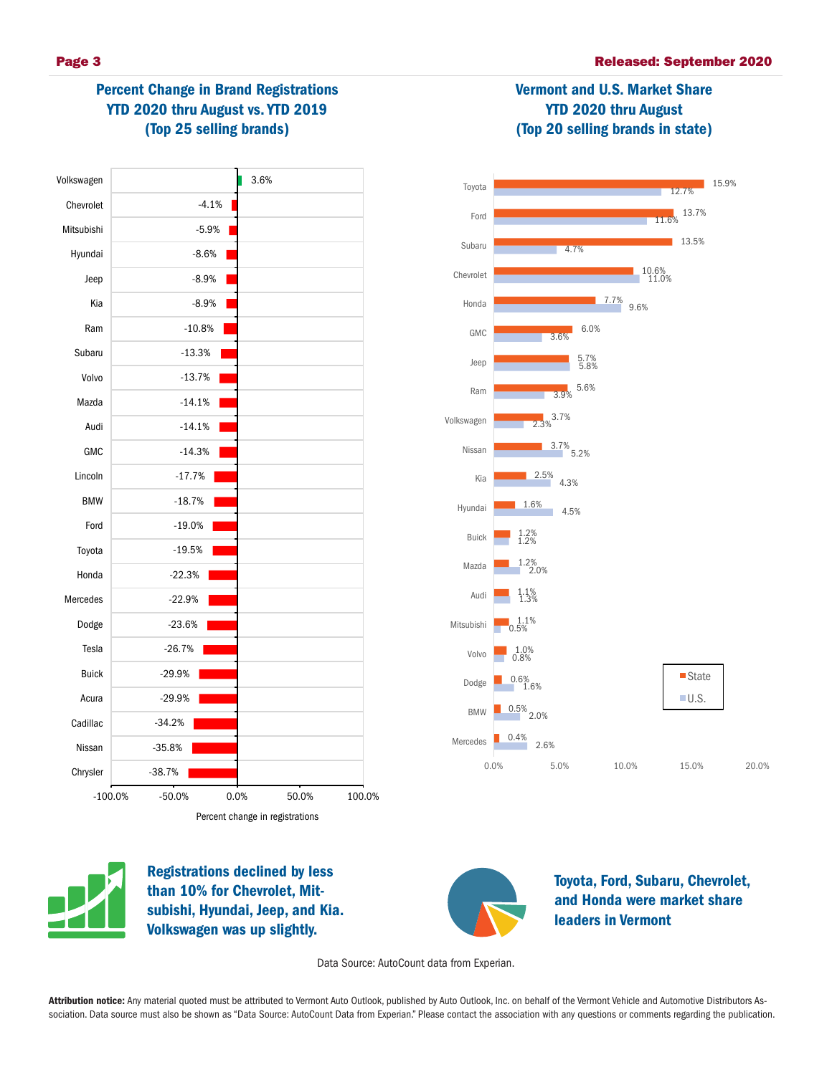Vermont and U.S. Market Share YTD 2020 thru August (Top 20 selling brands in state)



## Percent Change in Brand Registrations YTD 2020 thru August vs. YTD 2019 (Top 25 selling brands)





Registrations declined by less than 10% for Chevrolet, Mitsubishi, Hyundai, Jeep, and Kia. Volkswagen was up slightly.



Toyota, Ford, Subaru, Chevrolet, and Honda were market share leaders in Vermont

Data Source: AutoCount data from Experian.

Attribution notice: Any material quoted must be attributed to Vermont Auto Outlook, published by Auto Outlook, Inc. on behalf of the Vermont Vehicle and Automotive Distributors Association. Data source must also be shown as "Data Source: AutoCount Data from Experian." Please contact the association with any questions or comments regarding the publication.